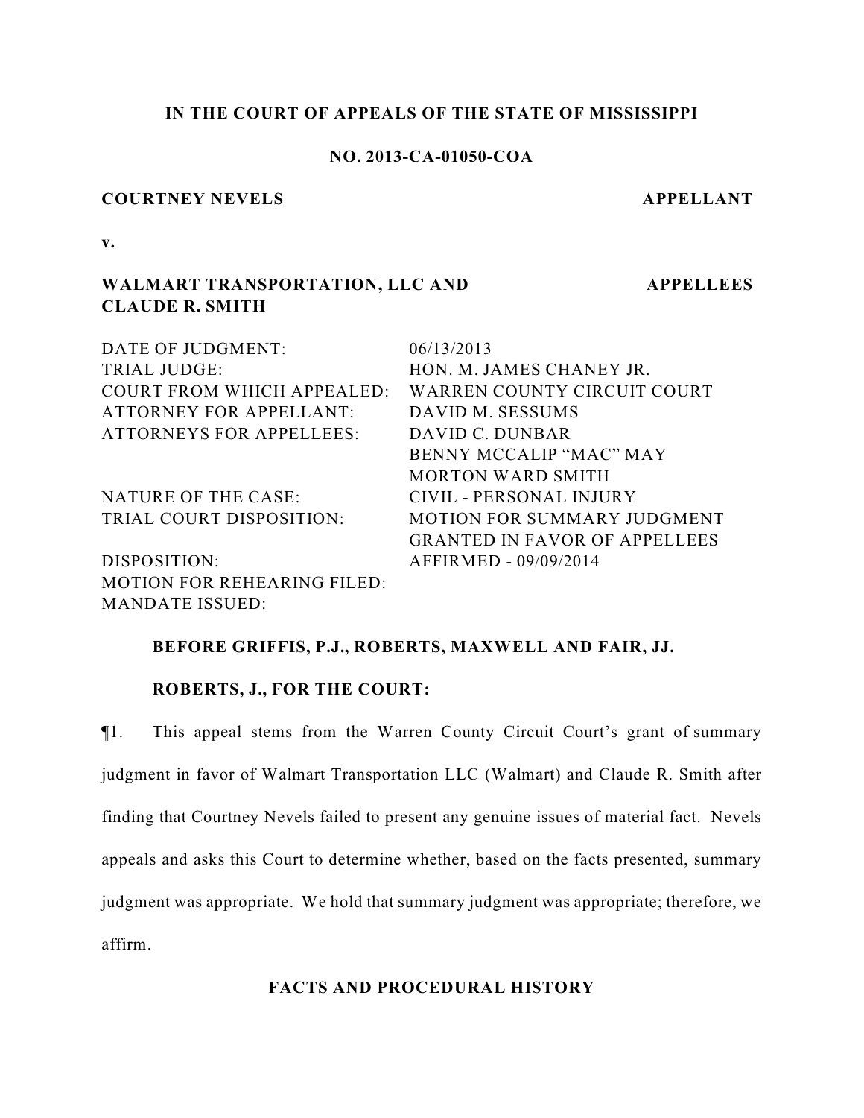## **IN THE COURT OF APPEALS OF THE STATE OF MISSISSIPPI**

# **NO. 2013-CA-01050-COA**

#### **COURTNEY NEVELS APPELLANT**

**APPELLEES**

**v.**

# **WALMART TRANSPORTATION, LLC AND CLAUDE R. SMITH**

| DATE OF JUDGMENT:                  | 06/13/2013                           |
|------------------------------------|--------------------------------------|
| <b>TRIAL JUDGE:</b>                | HON. M. JAMES CHANEY JR.             |
| <b>COURT FROM WHICH APPEALED:</b>  | WARREN COUNTY CIRCUIT COURT          |
| <b>ATTORNEY FOR APPELLANT:</b>     | DAVID M. SESSUMS                     |
| <b>ATTORNEYS FOR APPELLEES:</b>    | DAVID C. DUNBAR                      |
|                                    | BENNY MCCALIP "MAC" MAY              |
|                                    | <b>MORTON WARD SMITH</b>             |
| <b>NATURE OF THE CASE:</b>         | CIVIL - PERSONAL INJURY              |
| TRIAL COURT DISPOSITION:           | <b>MOTION FOR SUMMARY JUDGMENT</b>   |
|                                    | <b>GRANTED IN FAVOR OF APPELLEES</b> |
| DISPOSITION:                       | AFFIRMED - 09/09/2014                |
| <b>MOTION FOR REHEARING FILED:</b> |                                      |
| <b>MANDATE ISSUED:</b>             |                                      |

#### **BEFORE GRIFFIS, P.J., ROBERTS, MAXWELL AND FAIR, JJ.**

### **ROBERTS, J., FOR THE COURT:**

¶1. This appeal stems from the Warren County Circuit Court's grant of summary judgment in favor of Walmart Transportation LLC (Walmart) and Claude R. Smith after finding that Courtney Nevels failed to present any genuine issues of material fact. Nevels appeals and asks this Court to determine whether, based on the facts presented, summary judgment was appropriate. We hold that summary judgment was appropriate; therefore, we affirm.

### **FACTS AND PROCEDURAL HISTORY**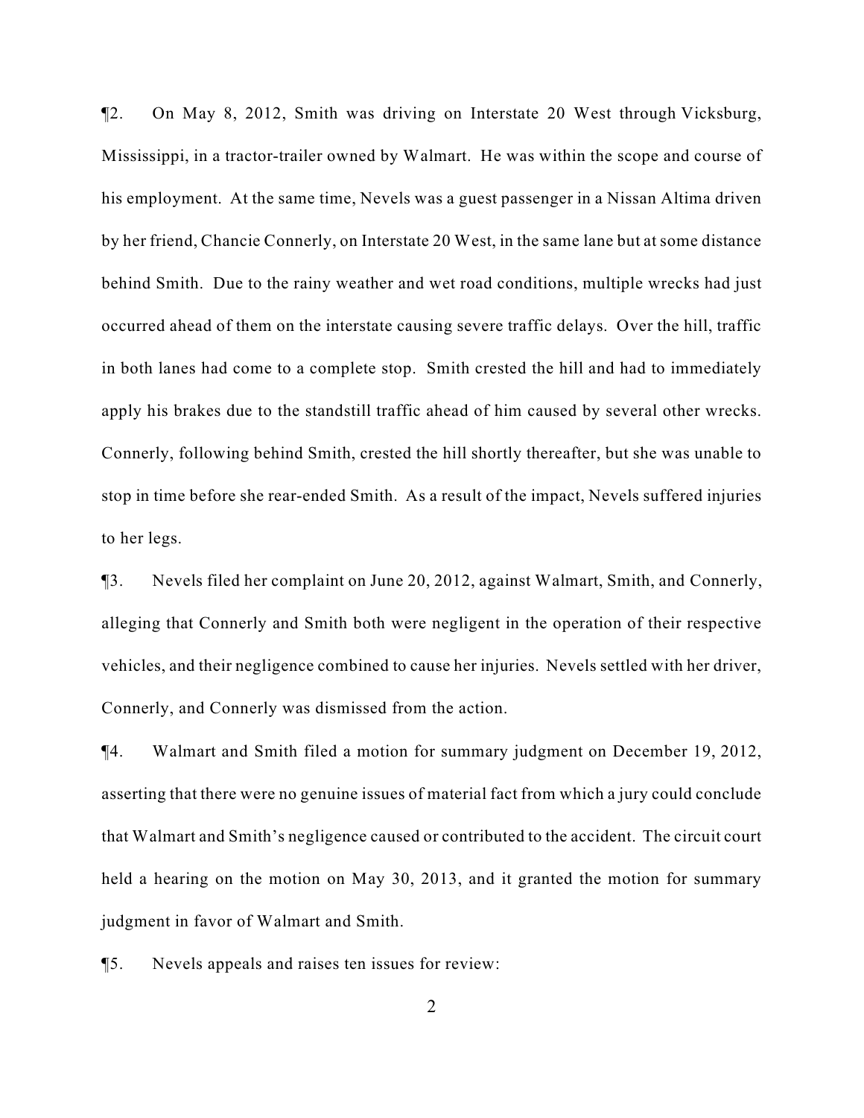¶2. On May 8, 2012, Smith was driving on Interstate 20 West through Vicksburg, Mississippi, in a tractor-trailer owned by Walmart. He was within the scope and course of his employment. At the same time, Nevels was a guest passenger in a Nissan Altima driven by her friend, Chancie Connerly, on Interstate 20 West, in the same lane but at some distance behind Smith. Due to the rainy weather and wet road conditions, multiple wrecks had just occurred ahead of them on the interstate causing severe traffic delays. Over the hill, traffic in both lanes had come to a complete stop. Smith crested the hill and had to immediately apply his brakes due to the standstill traffic ahead of him caused by several other wrecks. Connerly, following behind Smith, crested the hill shortly thereafter, but she was unable to stop in time before she rear-ended Smith. As a result of the impact, Nevels suffered injuries to her legs.

¶3. Nevels filed her complaint on June 20, 2012, against Walmart, Smith, and Connerly, alleging that Connerly and Smith both were negligent in the operation of their respective vehicles, and their negligence combined to cause her injuries. Nevels settled with her driver, Connerly, and Connerly was dismissed from the action.

¶4. Walmart and Smith filed a motion for summary judgment on December 19, 2012, asserting that there were no genuine issues of material fact from which a jury could conclude that Walmart and Smith's negligence caused or contributed to the accident. The circuit court held a hearing on the motion on May 30, 2013, and it granted the motion for summary judgment in favor of Walmart and Smith.

¶5. Nevels appeals and raises ten issues for review: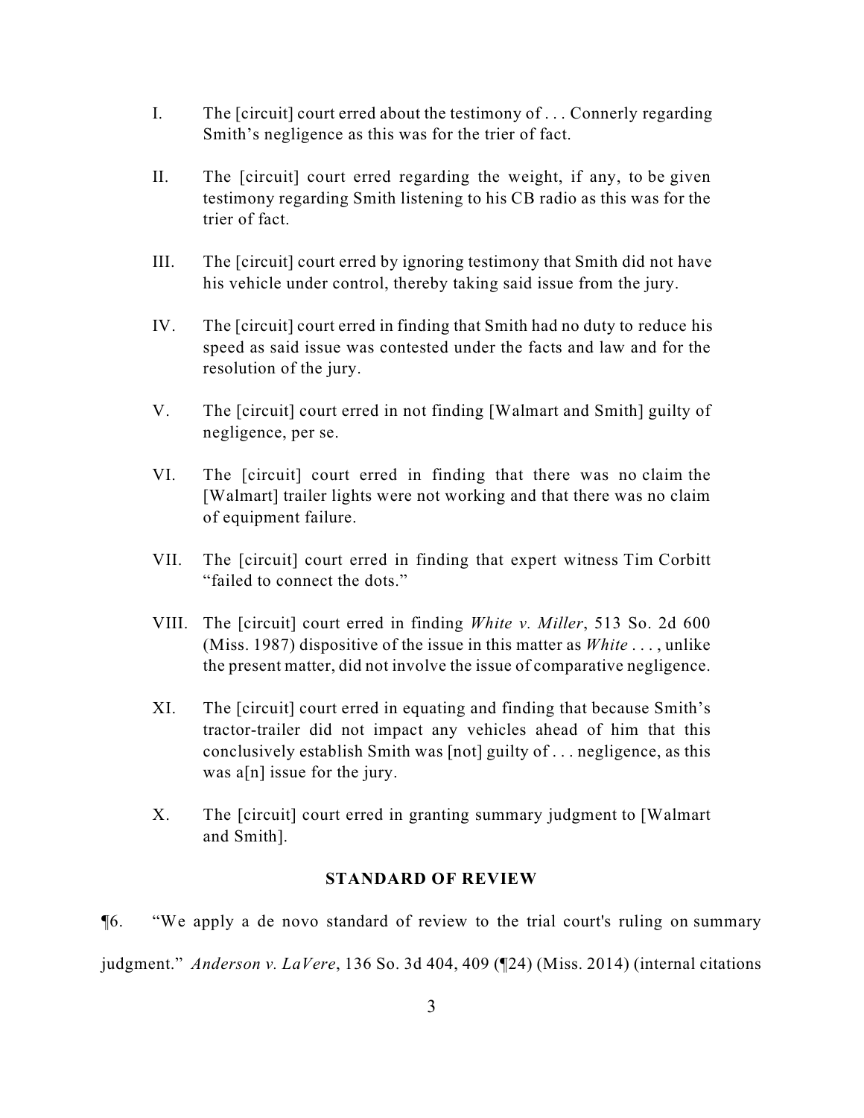- I. The [circuit] court erred about the testimony of . . . Connerly regarding Smith's negligence as this was for the trier of fact.
- II. The [circuit] court erred regarding the weight, if any, to be given testimony regarding Smith listening to his CB radio as this was for the trier of fact.
- III. The [circuit] court erred by ignoring testimony that Smith did not have his vehicle under control, thereby taking said issue from the jury.
- IV. The [circuit] court erred in finding that Smith had no duty to reduce his speed as said issue was contested under the facts and law and for the resolution of the jury.
- V. The [circuit] court erred in not finding [Walmart and Smith] guilty of negligence, per se.
- VI. The [circuit] court erred in finding that there was no claim the [Walmart] trailer lights were not working and that there was no claim of equipment failure.
- VII. The [circuit] court erred in finding that expert witness Tim Corbitt "failed to connect the dots."
- VIII. The [circuit] court erred in finding *White v. Miller*, 513 So. 2d 600 (Miss. 1987) dispositive of the issue in this matter as *White* . . . , unlike the present matter, did not involve the issue of comparative negligence.
- XI. The [circuit] court erred in equating and finding that because Smith's tractor-trailer did not impact any vehicles ahead of him that this conclusively establish Smith was [not] guilty of . . . negligence, as this was a[n] issue for the jury.
- X. The [circuit] court erred in granting summary judgment to [Walmart and Smith].

# **STANDARD OF REVIEW**

¶6. "We apply a de novo standard of review to the trial court's ruling on summary judgment." *Anderson v. LaVere*, 136 So. 3d 404, 409 (¶24) (Miss. 2014) (internal citations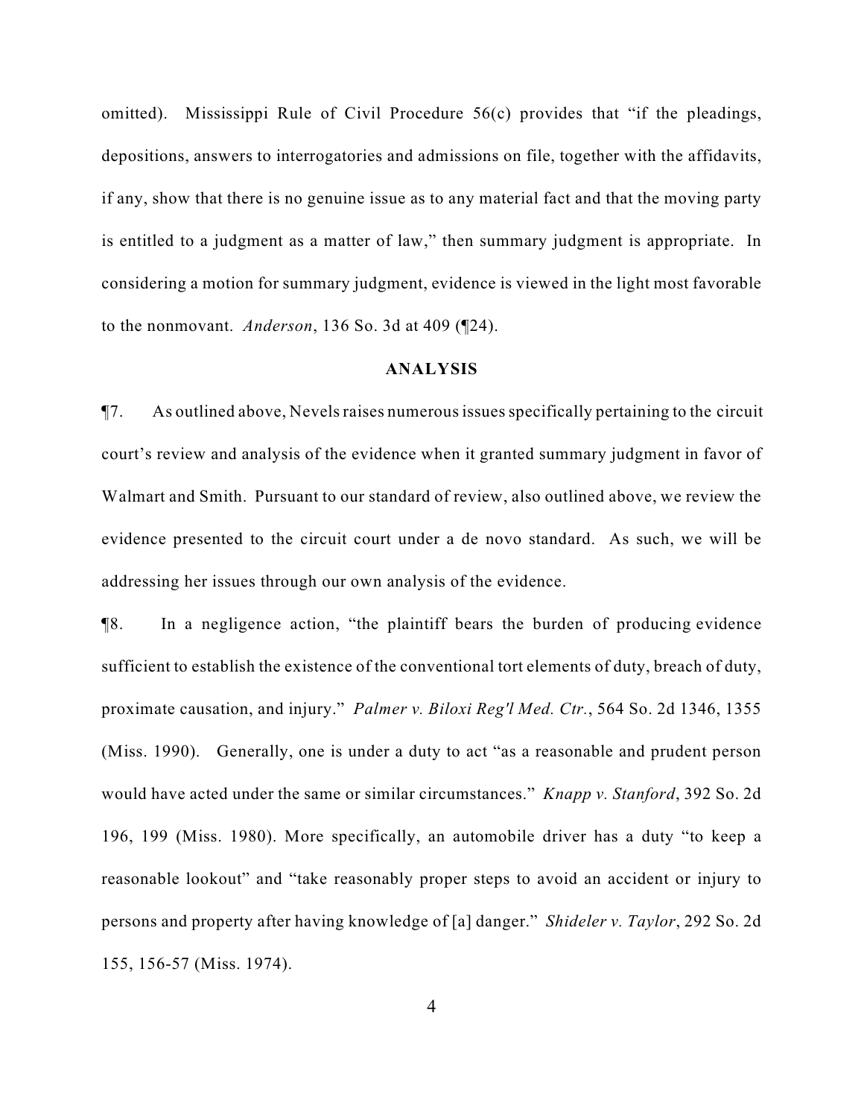omitted). Mississippi Rule of Civil Procedure 56(c) provides that "if the pleadings, depositions, answers to interrogatories and admissions on file, together with the affidavits, if any, show that there is no genuine issue as to any material fact and that the moving party is entitled to a judgment as a matter of law," then summary judgment is appropriate. In considering a motion for summary judgment, evidence is viewed in the light most favorable to the nonmovant. *Anderson*, 136 So. 3d at 409 (¶24).

# **ANALYSIS**

¶7. As outlined above, Nevels raises numerous issues specifically pertaining to the circuit court's review and analysis of the evidence when it granted summary judgment in favor of Walmart and Smith. Pursuant to our standard of review, also outlined above, we review the evidence presented to the circuit court under a de novo standard. As such, we will be addressing her issues through our own analysis of the evidence.

¶8. In a negligence action, "the plaintiff bears the burden of producing evidence sufficient to establish the existence of the conventional tort elements of duty, breach of duty, proximate causation, and injury." *Palmer v. Biloxi Reg'l Med. Ctr.*, 564 So. 2d 1346, 1355 (Miss. 1990). Generally, one is under a duty to act "as a reasonable and prudent person would have acted under the same or similar circumstances." *Knapp v. Stanford*, 392 So. 2d 196, 199 (Miss. 1980). More specifically, an automobile driver has a duty "to keep a reasonable lookout" and "take reasonably proper steps to avoid an accident or injury to persons and property after having knowledge of [a] danger." *Shideler v. Taylor*, 292 So. 2d 155, 156-57 (Miss. 1974).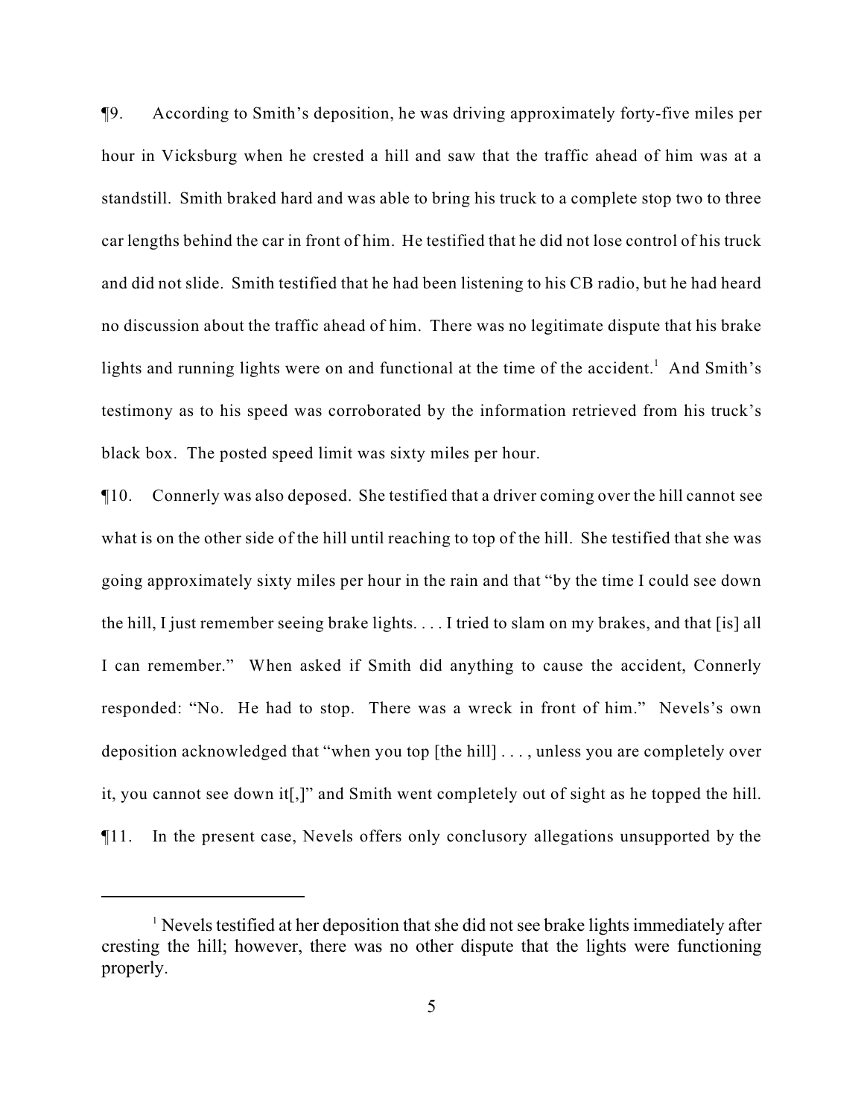¶9. According to Smith's deposition, he was driving approximately forty-five miles per hour in Vicksburg when he crested a hill and saw that the traffic ahead of him was at a standstill. Smith braked hard and was able to bring his truck to a complete stop two to three car lengths behind the car in front of him. He testified that he did not lose control of his truck and did not slide. Smith testified that he had been listening to his CB radio, but he had heard no discussion about the traffic ahead of him. There was no legitimate dispute that his brake lights and running lights were on and functional at the time of the accident.<sup>1</sup> And Smith's testimony as to his speed was corroborated by the information retrieved from his truck's black box. The posted speed limit was sixty miles per hour.

¶10. Connerly was also deposed. She testified that a driver coming over the hill cannot see what is on the other side of the hill until reaching to top of the hill. She testified that she was going approximately sixty miles per hour in the rain and that "by the time I could see down the hill, I just remember seeing brake lights. . . . I tried to slam on my brakes, and that [is] all I can remember." When asked if Smith did anything to cause the accident, Connerly responded: "No. He had to stop. There was a wreck in front of him." Nevels's own deposition acknowledged that "when you top [the hill] . . . , unless you are completely over it, you cannot see down it[,]" and Smith went completely out of sight as he topped the hill. ¶11. In the present case, Nevels offers only conclusory allegations unsupported by the

 $\frac{1}{1}$  Nevels testified at her deposition that she did not see brake lights immediately after cresting the hill; however, there was no other dispute that the lights were functioning properly.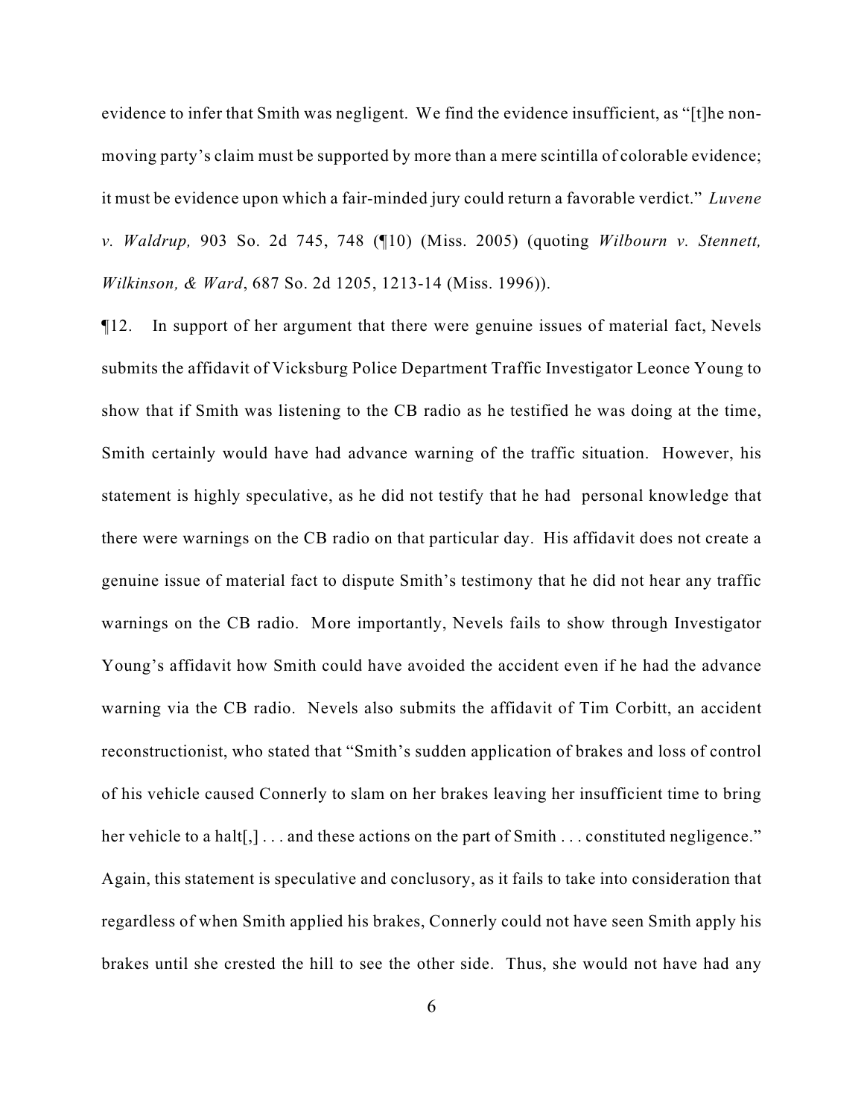evidence to infer that Smith was negligent. We find the evidence insufficient, as "[t]he nonmoving party's claim must be supported by more than a mere scintilla of colorable evidence; it must be evidence upon which a fair-minded jury could return a favorable verdict." *Luvene v. Waldrup,* 903 So. 2d 745, 748 (¶10) (Miss. 2005) (quoting *Wilbourn v. Stennett, Wilkinson, & Ward*, 687 So. 2d 1205, 1213-14 (Miss. 1996)).

¶12. In support of her argument that there were genuine issues of material fact, Nevels submits the affidavit of Vicksburg Police Department Traffic Investigator Leonce Young to show that if Smith was listening to the CB radio as he testified he was doing at the time, Smith certainly would have had advance warning of the traffic situation. However, his statement is highly speculative, as he did not testify that he had personal knowledge that there were warnings on the CB radio on that particular day. His affidavit does not create a genuine issue of material fact to dispute Smith's testimony that he did not hear any traffic warnings on the CB radio. More importantly, Nevels fails to show through Investigator Young's affidavit how Smith could have avoided the accident even if he had the advance warning via the CB radio. Nevels also submits the affidavit of Tim Corbitt, an accident reconstructionist, who stated that "Smith's sudden application of brakes and loss of control of his vehicle caused Connerly to slam on her brakes leaving her insufficient time to bring her vehicle to a halt<sup>[1]</sup>... and these actions on the part of Smith ... constituted negligence." Again, this statement is speculative and conclusory, as it fails to take into consideration that regardless of when Smith applied his brakes, Connerly could not have seen Smith apply his brakes until she crested the hill to see the other side. Thus, she would not have had any